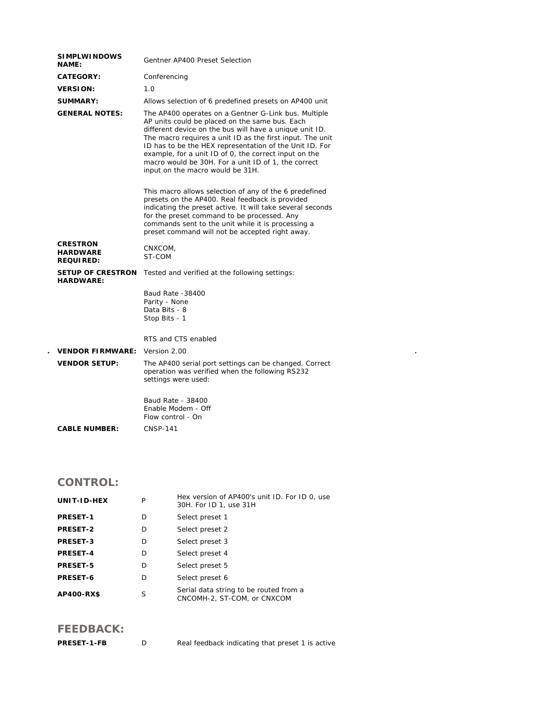| <b>SIMPLWINDOWS</b><br><b>NAME:</b>                    | Gentner AP400 Preset Selection                                                                                                                                                                                                                                                                                                                                                                                                                |  |
|--------------------------------------------------------|-----------------------------------------------------------------------------------------------------------------------------------------------------------------------------------------------------------------------------------------------------------------------------------------------------------------------------------------------------------------------------------------------------------------------------------------------|--|
| <b>CATEGORY:</b>                                       | Conferencing                                                                                                                                                                                                                                                                                                                                                                                                                                  |  |
| <b>VERSION:</b>                                        | 1.0                                                                                                                                                                                                                                                                                                                                                                                                                                           |  |
| <b>SUMMARY:</b>                                        | Allows selection of 6 predefined presets on AP400 unit                                                                                                                                                                                                                                                                                                                                                                                        |  |
| <b>GENERAL NOTES:</b>                                  | The AP400 operates on a Gentner G-Link bus. Multiple<br>AP units could be placed on the same bus. Each<br>different device on the bus will have a unique unit ID.<br>The macro requires a unit ID as the first input. The unit<br>ID has to be the HEX representation of the Unit ID. For<br>example, for a unit ID of 0, the correct input on the<br>macro would be 30H. For a unit ID of 1, the correct<br>input on the macro would be 31H. |  |
|                                                        | This macro allows selection of any of the 6 predefined<br>presets on the AP400. Real feedback is provided<br>indicating the preset active. It will take several seconds<br>for the preset command to be processed. Any<br>commands sent to the unit while it is processing a<br>preset command will not be accepted right away.                                                                                                               |  |
| <b>CRESTRON</b><br><b>HARDWARE</b><br><b>REQUIRED:</b> | CNXCOM,<br>ST-COM                                                                                                                                                                                                                                                                                                                                                                                                                             |  |
| <b>SETUP OF CRESTRON</b><br><b>HARDWARE:</b>           | Tested and verified at the following settings:                                                                                                                                                                                                                                                                                                                                                                                                |  |
|                                                        | Baud Rate -38400<br>Parity - None<br>Data Bits - 8<br>Stop Bits - 1                                                                                                                                                                                                                                                                                                                                                                           |  |
|                                                        | RTS and CTS enabled                                                                                                                                                                                                                                                                                                                                                                                                                           |  |
| <b>VENDOR FIRMWARE:</b>                                | Version 2.00                                                                                                                                                                                                                                                                                                                                                                                                                                  |  |
| <b>VENDOR SETUP:</b>                                   | The AP400 serial port settings can be changed. Correct<br>operation was verified when the following RS232<br>settings were used:                                                                                                                                                                                                                                                                                                              |  |
|                                                        | Baud Rate - 38400<br>Enable Modem - Off<br>Flow control - On                                                                                                                                                                                                                                                                                                                                                                                  |  |
| <b>CABLE NUMBER:</b>                                   | <b>CNSP-141</b>                                                                                                                                                                                                                                                                                                                                                                                                                               |  |

 $\mathcal{L}^{\text{max}}_{\text{max}}$  and  $\mathcal{L}^{\text{max}}_{\text{max}}$ 

## **CONTROL:**

| UNIT-ID-HEX     | P | Hex version of AP400's unit ID. For ID 0, use<br>30H. For ID 1, use 31H |
|-----------------|---|-------------------------------------------------------------------------|
| <b>PRESET-1</b> | D | Select preset 1                                                         |
| <b>PRESET-2</b> | D | Select preset 2                                                         |
| <b>PRESET-3</b> | D | Select preset 3                                                         |
| <b>PRESET-4</b> | D | Select preset 4                                                         |
| <b>PRESET-5</b> | D | Select preset 5                                                         |
| PRESET-6        | D | Select preset 6                                                         |
| AP400-RX\$      | S | Serial data string to be routed from a<br>CNCOMH-2, ST-COM, or CNXCOM   |

## **FEEDBACK:**

| <b>PRESET-1-FB</b> | Real feedback indicating that preset 1 is active |
|--------------------|--------------------------------------------------|
|--------------------|--------------------------------------------------|